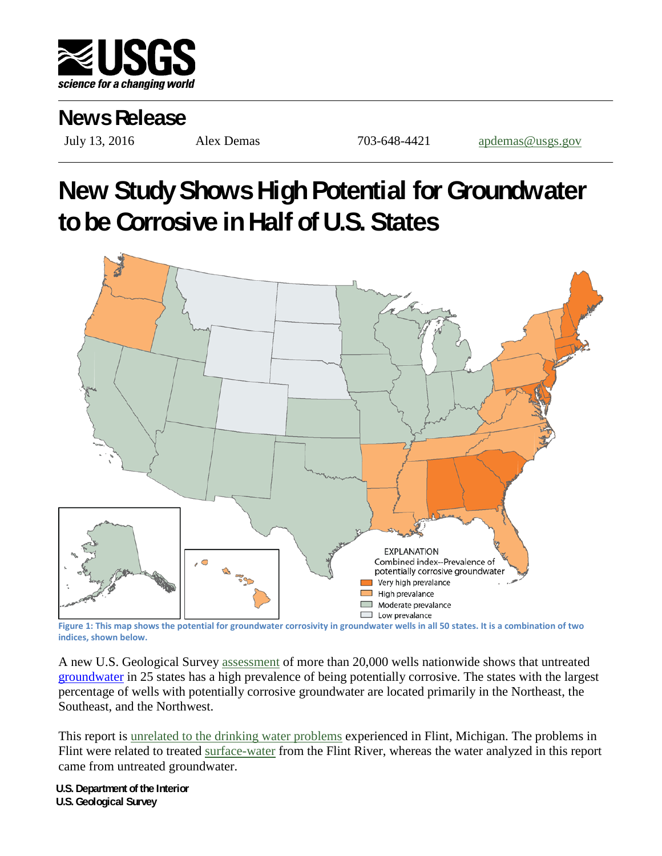

## **News Release**

July 13, 2016 Alex Demas 703-648-4421 [apdemas@usgs.gov](mailto:apdemas@usgs.gov)

## **New Study Shows High Potential for Groundwater to be Corrosive in Half of U.S. States**



**Figure 1: This map shows the potential for groundwater corrosivity in groundwater wells in all 50 states. It is a combination of two indices, shown below.**

A new U.S. Geological Survey [assessment](http://water.usgs.gov/nawqa/pubs/gw_corrosivity/) of more than 20,000 wells nationwide shows that untreated [groundwater](https://www2.usgs.gov/faq/categories/9812/2773) in 25 states has a high prevalence of being potentially corrosive. The states with the largest percentage of wells with potentially corrosive groundwater are located primarily in the Northeast, the Southeast, and the Northwest.

This report is [unrelated to the drinking water problems](http://water.usgs.gov/nawqa/pubs/gw_corrosivity/faq.html#10) experienced in Flint, Michigan. The problems in Flint were related to treated [surface-water](http://water.usgs.gov/edu/surfacewater.html) from the Flint River, whereas the water analyzed in this report came from untreated groundwater.

**U.S. Department of the Interior U.S. Geological Survey**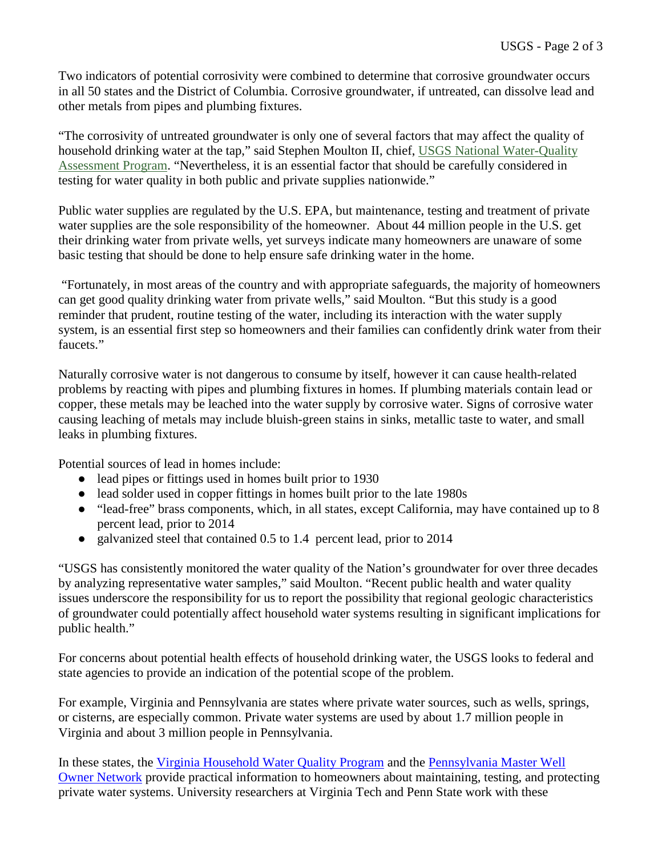Two indicators of potential corrosivity were combined to determine that corrosive groundwater occurs in all 50 states and the District of Columbia. Corrosive groundwater, if untreated, can dissolve lead and other metals from pipes and plumbing fixtures.

"The corrosivity of untreated groundwater is only one of several factors that may affect the quality of household drinking water at the tap," said Stephen Moulton II, chief, [USGS National Water-Quality](http://water.usgs.gov/nawqa/)  [Assessment Program.](http://water.usgs.gov/nawqa/) "Nevertheless, it is an essential factor that should be carefully considered in testing for water quality in both public and private supplies nationwide."

Public water supplies are regulated by the U.S. EPA, but maintenance, testing and treatment of private water supplies are the sole responsibility of the homeowner. About 44 million people in the U.S. get their drinking water from private wells, yet surveys indicate many homeowners are unaware of some basic testing that should be done to help ensure safe drinking water in the home.

"Fortunately, in most areas of the country and with appropriate safeguards, the majority of homeowners can get good quality drinking water from private wells," said Moulton. "But this study is a good reminder that prudent, routine testing of the water, including its interaction with the water supply system, is an essential first step so homeowners and their families can confidently drink water from their faucets."

Naturally corrosive water is not dangerous to consume by itself, however it can cause health-related problems by reacting with pipes and plumbing fixtures in homes. If plumbing materials contain lead or copper, these metals may be leached into the water supply by corrosive water. Signs of corrosive water causing leaching of metals may include bluish-green stains in sinks, metallic taste to water, and small leaks in plumbing fixtures.

Potential sources of lead in homes include:

- lead pipes or fittings used in homes built prior to 1930
- lead solder used in copper fittings in homes built prior to the late 1980s
- "lead-free" brass components, which, in all states, except California, may have contained up to 8 percent lead, prior to 2014
- galvanized steel that contained 0.5 to 1.4 percent lead, prior to 2014

"USGS has consistently monitored the water quality of the Nation's groundwater for over three decades by analyzing representative water samples," said Moulton. "Recent public health and water quality issues underscore the responsibility for us to report the possibility that regional geologic characteristics of groundwater could potentially affect household water systems resulting in significant implications for public health."

For concerns about potential health effects of household drinking water, the USGS looks to federal and state agencies to provide an indication of the potential scope of the problem.

For example, Virginia and Pennsylvania are states where private water sources, such as wells, springs, or cisterns, are especially common. Private water systems are used by about 1.7 million people in Virginia and about 3 million people in Pennsylvania.

In these states, the [Virginia Household Water Quality Program](http://www.wellwater.bse.vt.edu/index.php) and the [Pennsylvania Master Well](http://extension.psu.edu/natural-resources/water/mwon)  [Owner Network](http://extension.psu.edu/natural-resources/water/mwon) provide practical information to homeowners about maintaining, testing, and protecting private water systems. University researchers at Virginia Tech and Penn State work with these